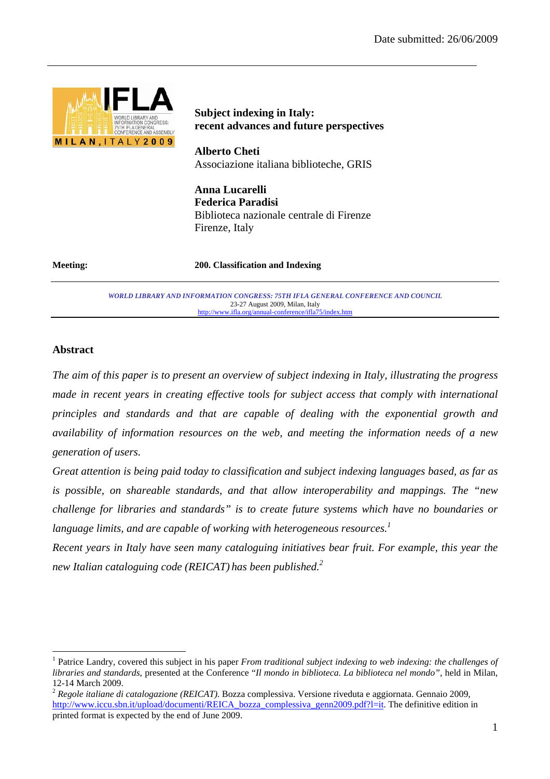

# **Subject indexing in Italy: recent advances and future perspectives**

**Alberto Cheti**  Associazione italiana biblioteche, GRIS

**Anna Lucarelli Federica Paradisi**  Biblioteca nazionale centrale di Firenze Firenze, Italy

**Meeting: 200. Classification and Indexing** 

*WORLD LIBRARY AND INFORMATION CONGRESS: 75TH IFLA GENERAL CONFERENCE AND COUNCIL*  23-27 August 2009, Milan, Italy http://www.ifla.org/annual-conference/ifla75/index.htm

# **Abstract**

 $\overline{a}$ 

*The aim of this paper is to present an overview of subject indexing in Italy, illustrating the progress made in recent years in creating effective tools for subject access that comply with international principles and standards and that are capable of dealing with the exponential growth and availability of information resources on the web, and meeting the information needs of a new generation of users.* 

*Great attention is being paid today to classification and subject indexing languages based, as far as is possible, on shareable standards, and that allow interoperability and mappings. The "new challenge for libraries and standards" is to create future systems which have no boundaries or language limits, and are capable of working with heterogeneous resources.*<sup>1</sup>

*Recent years in Italy have seen many cataloguing initiatives bear fruit. For example, this year the new Italian cataloguing code (REICAT) has been published.2*

<sup>1</sup> Patrice Landry, covered this subject in his paper *From traditional subject indexing to web indexing: the challenges of libraries and standards*, presented at the Conference "*Il mondo in biblioteca. La biblioteca nel mondo"*, held in Milan, 12-14 March 2009.

<sup>2</sup> *Regole italiane di catalogazione (REICAT)*. Bozza complessiva. Versione riveduta e aggiornata. Gennaio 2009, http://www.iccu.sbn.it/upload/documenti/REICA\_bozza\_complessiva\_genn2009.pdf?l=it. The definitive edition in printed format is expected by the end of June 2009.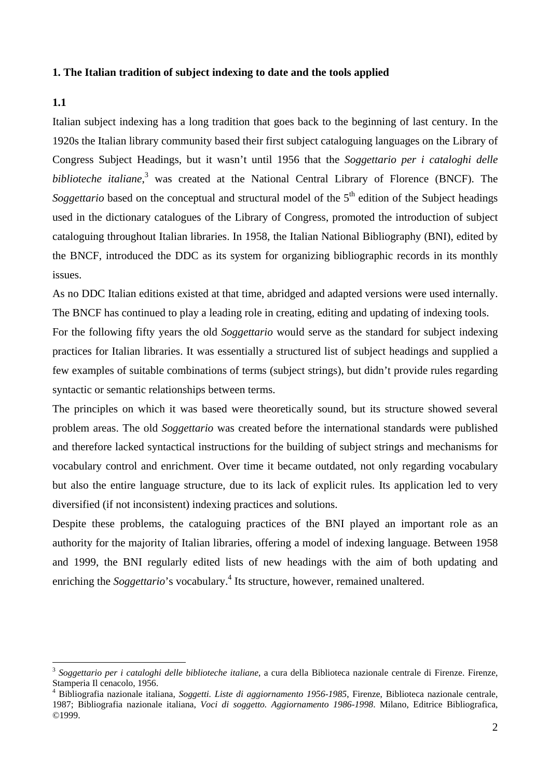#### **1. The Italian tradition of subject indexing to date and the tools applied**

## **1.1**

 $\overline{a}$ 

Italian subject indexing has a long tradition that goes back to the beginning of last century. In the 1920s the Italian library community based their first subject cataloguing languages on the Library of Congress Subject Headings, but it wasn't until 1956 that the *Soggettario per i cataloghi delle biblioteche italiane*, 3 was created at the National Central Library of Florence (BNCF). The *Soggettario* based on the conceptual and structural model of the 5<sup>th</sup> edition of the Subject headings used in the dictionary catalogues of the Library of Congress, promoted the introduction of subject cataloguing throughout Italian libraries. In 1958, the Italian National Bibliography (BNI), edited by the BNCF, introduced the DDC as its system for organizing bibliographic records in its monthly issues.

As no DDC Italian editions existed at that time, abridged and adapted versions were used internally. The BNCF has continued to play a leading role in creating, editing and updating of indexing tools.

For the following fifty years the old *Soggettario* would serve as the standard for subject indexing practices for Italian libraries. It was essentially a structured list of subject headings and supplied a few examples of suitable combinations of terms (subject strings), but didn't provide rules regarding syntactic or semantic relationships between terms.

The principles on which it was based were theoretically sound, but its structure showed several problem areas. The old *Soggettario* was created before the international standards were published and therefore lacked syntactical instructions for the building of subject strings and mechanisms for vocabulary control and enrichment. Over time it became outdated, not only regarding vocabulary but also the entire language structure, due to its lack of explicit rules. Its application led to very diversified (if not inconsistent) indexing practices and solutions.

Despite these problems, the cataloguing practices of the BNI played an important role as an authority for the majority of Italian libraries, offering a model of indexing language. Between 1958 and 1999, the BNI regularly edited lists of new headings with the aim of both updating and enriching the *Soggettario*'s vocabulary.<sup>4</sup> Its structure, however, remained unaltered.

<sup>3</sup> *Soggettario per i cataloghi delle biblioteche italiane*, a cura della Biblioteca nazionale centrale di Firenze. Firenze, Stamperia Il cenacolo, 1956.

<sup>4</sup> Bibliografia nazionale italiana, *Soggetti. Liste di aggiornamento 1956-1985*, Firenze, Biblioteca nazionale centrale, 1987; Bibliografia nazionale italiana, *Voci di soggetto. Aggiornamento 1986-1998*. Milano, Editrice Bibliografica, ©1999.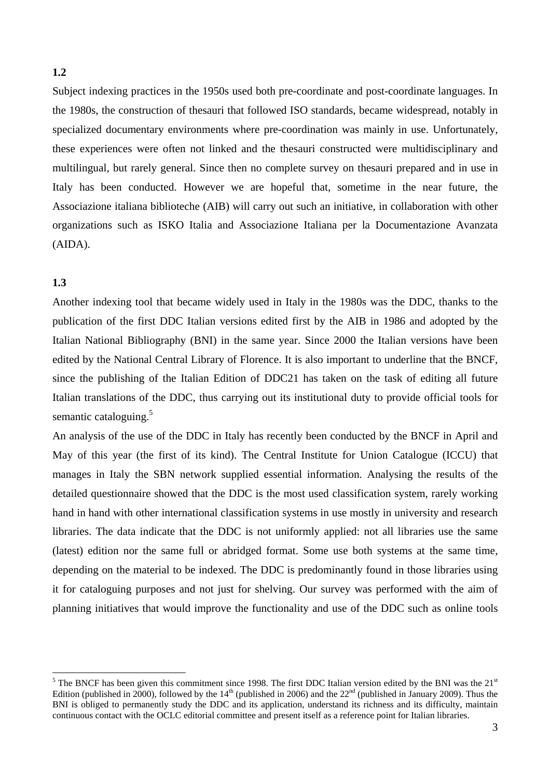Subject indexing practices in the 1950s used both pre-coordinate and post-coordinate languages. In the 1980s, the construction of thesauri that followed ISO standards, became widespread, notably in specialized documentary environments where pre-coordination was mainly in use. Unfortunately, these experiences were often not linked and the thesauri constructed were multidisciplinary and multilingual, but rarely general. Since then no complete survey on thesauri prepared and in use in Italy has been conducted. However we are hopeful that, sometime in the near future, the Associazione italiana biblioteche (AIB) will carry out such an initiative, in collaboration with other organizations such as ISKO Italia and Associazione Italiana per la Documentazione Avanzata (AIDA).

## **1.3**

Another indexing tool that became widely used in Italy in the 1980s was the DDC, thanks to the publication of the first DDC Italian versions edited first by the AIB in 1986 and adopted by the Italian National Bibliography (BNI) in the same year. Since 2000 the Italian versions have been edited by the National Central Library of Florence. It is also important to underline that the BNCF, since the publishing of the Italian Edition of DDC21 has taken on the task of editing all future Italian translations of the DDC, thus carrying out its institutional duty to provide official tools for semantic cataloguing. $5$ 

An analysis of the use of the DDC in Italy has recently been conducted by the BNCF in April and May of this year (the first of its kind). The Central Institute for Union Catalogue (ICCU) that manages in Italy the SBN network supplied essential information. Analysing the results of the detailed questionnaire showed that the DDC is the most used classification system, rarely working hand in hand with other international classification systems in use mostly in university and research libraries. The data indicate that the DDC is not uniformly applied: not all libraries use the same (latest) edition nor the same full or abridged format. Some use both systems at the same time, depending on the material to be indexed. The DDC is predominantly found in those libraries using it for cataloguing purposes and not just for shelving. Our survey was performed with the aim of planning initiatives that would improve the functionality and use of the DDC such as online tools

<sup>&</sup>lt;sup>5</sup> The BNCF has been given this commitment since 1998. The first DDC Italian version edited by the BNI was the 21<sup>st</sup> Edition (published in 2000), followed by the  $14<sup>th</sup>$  (published in 2006) and the  $22<sup>nd</sup>$  (published in January 2009). Thus the BNI is obliged to permanently study the DDC and its application, understand its richness and its difficulty, maintain continuous contact with the OCLC editorial committee and present itself as a reference point for Italian libraries.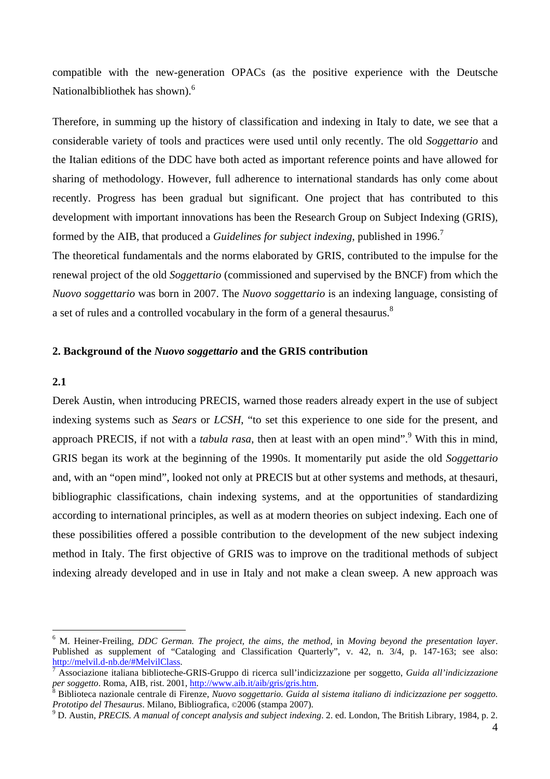compatible with the new-generation OPACs (as the positive experience with the Deutsche Nationalbibliothek has shown).<sup>6</sup>

Therefore, in summing up the history of classification and indexing in Italy to date, we see that a considerable variety of tools and practices were used until only recently. The old *Soggettario* and the Italian editions of the DDC have both acted as important reference points and have allowed for sharing of methodology. However, full adherence to international standards has only come about recently. Progress has been gradual but significant. One project that has contributed to this development with important innovations has been the Research Group on Subject Indexing (GRIS), formed by the AIB, that produced a *Guidelines for subject indexing*, published in 1996.<sup>7</sup>

The theoretical fundamentals and the norms elaborated by GRIS, contributed to the impulse for the renewal project of the old *Soggettario* (commissioned and supervised by the BNCF) from which the *Nuovo soggettario* was born in 2007. The *Nuovo soggettario* is an indexing language, consisting of a set of rules and a controlled vocabulary in the form of a general thesaurus.<sup>8</sup>

#### **2. Background of the** *Nuovo soggettario* **and the GRIS contribution**

## **2.1**

 $\overline{a}$ 

Derek Austin, when introducing PRECIS, warned those readers already expert in the use of subject indexing systems such as *Sears* or *LCSH*, "to set this experience to one side for the present, and approach PRECIS, if not with a *tabula rasa*, then at least with an open mind".<sup>9</sup> With this in mind, GRIS began its work at the beginning of the 1990s. It momentarily put aside the old *Soggettario* and, with an "open mind", looked not only at PRECIS but at other systems and methods, at thesauri, bibliographic classifications, chain indexing systems, and at the opportunities of standardizing according to international principles, as well as at modern theories on subject indexing. Each one of these possibilities offered a possible contribution to the development of the new subject indexing method in Italy. The first objective of GRIS was to improve on the traditional methods of subject indexing already developed and in use in Italy and not make a clean sweep. A new approach was

<sup>6</sup> M. Heiner-Freiling, *DDC German. The project, the aims, the method*, in *Moving beyond the presentation layer*. Published as supplement of "Cataloging and Classification Quarterly", v. 42, n. 3/4, p. 147-163; see also: http://melvil.d-nb.de/#MelvilClass. 7

Associazione italiana biblioteche-GRIS-Gruppo di ricerca sull'indicizzazione per soggetto, *Guida all'indicizzazione per soggetto*. Roma, AIB, rist. 2001, <u>http://www.aib.it/aib/gris/gris.htm</u>.

Biblioteca nazionale centrale di Firenze, *Nuovo soggettario. Guida al sistema italiano di indicizzazione per soggetto. Prototipo del Thesaurus*. Milano, Bibliografica, ©2006 (stampa 2007).

D. Austin, *PRECIS. A manual of concept analysis and subject indexing*. 2. ed. London, The British Library, 1984, p. 2.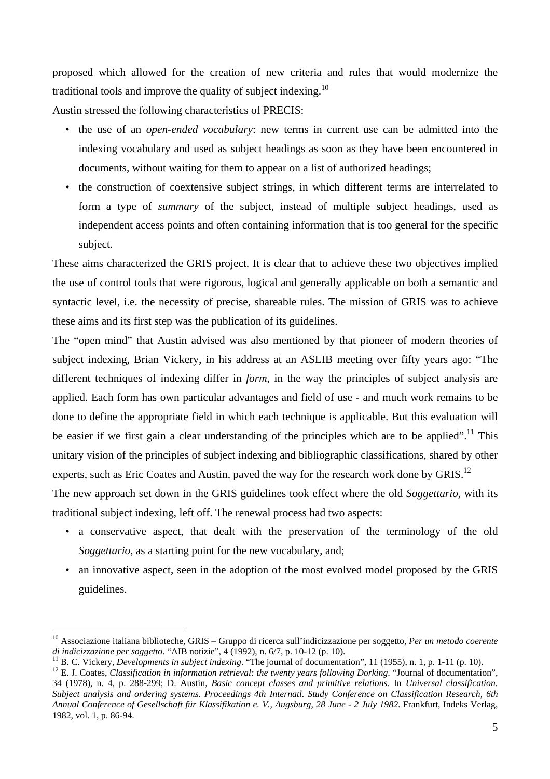proposed which allowed for the creation of new criteria and rules that would modernize the traditional tools and improve the quality of subject indexing.<sup>10</sup>

Austin stressed the following characteristics of PRECIS:

- the use of an *open-ended vocabulary*: new terms in current use can be admitted into the indexing vocabulary and used as subject headings as soon as they have been encountered in documents, without waiting for them to appear on a list of authorized headings;
- the construction of coextensive subject strings, in which different terms are interrelated to form a type of *summary* of the subject, instead of multiple subject headings, used as independent access points and often containing information that is too general for the specific subject.

These aims characterized the GRIS project. It is clear that to achieve these two objectives implied the use of control tools that were rigorous, logical and generally applicable on both a semantic and syntactic level, i.e. the necessity of precise, shareable rules. The mission of GRIS was to achieve these aims and its first step was the publication of its guidelines.

The "open mind" that Austin advised was also mentioned by that pioneer of modern theories of subject indexing, Brian Vickery, in his address at an ASLIB meeting over fifty years ago: "The different techniques of indexing differ in *form*, in the way the principles of subject analysis are applied. Each form has own particular advantages and field of use - and much work remains to be done to define the appropriate field in which each technique is applicable. But this evaluation will be easier if we first gain a clear understanding of the principles which are to be applied".<sup>11</sup> This unitary vision of the principles of subject indexing and bibliographic classifications, shared by other experts, such as Eric Coates and Austin, paved the way for the research work done by GRIS.<sup>12</sup>

The new approach set down in the GRIS guidelines took effect where the old *Soggettario,* with its traditional subject indexing, left off. The renewal process had two aspects:

- a conservative aspect, that dealt with the preservation of the terminology of the old *Soggettario,* as a starting point for the new vocabulary, and;
- an innovative aspect, seen in the adoption of the most evolved model proposed by the GRIS guidelines.

<sup>10</sup> Associazione italiana biblioteche, GRIS – Gruppo di ricerca sull'indicizzazione per soggetto, *Per un metodo coerente di indicizzazione per soggetto.* "AIB notizie", 4 (1992), n. 6/7, p. 10-12 (p. 10).<br><sup>11</sup> B. C. Vickery, *Developments in subject indexing*. "The journal of documentation", 11 (1955), n. 1, p. 1-11 (p. 10).<br><sup>12</sup> E. J. Coa

<sup>34 (1978),</sup> n. 4, p. 288-299; D. Austin, *Basic concept classes and primitive relations*. In *Universal classification. Subject analysis and ordering systems. Proceedings 4th Internatl. Study Conference on Classification Research, 6th Annual Conference of Gesellschaft für Klassifikation e. V., Augsburg, 28 June - 2 July 1982*. Frankfurt, Indeks Verlag, 1982, vol. 1, p. 86-94.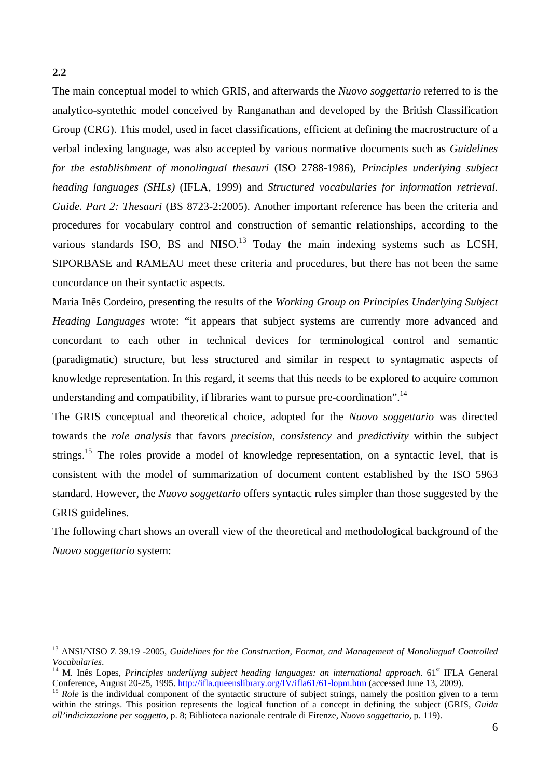The main conceptual model to which GRIS, and afterwards the *Nuovo soggettario* referred to is the analytico-syntethic model conceived by Ranganathan and developed by the British Classification Group (CRG). This model, used in facet classifications, efficient at defining the macrostructure of a verbal indexing language, was also accepted by various normative documents such as *Guidelines for the establishment of monolingual thesauri* (ISO 2788-1986), *Principles underlying subject heading languages (SHLs)* (IFLA, 1999) and *Structured vocabularies for information retrieval. Guide. Part 2: Thesauri* (BS 8723-2:2005). Another important reference has been the criteria and procedures for vocabulary control and construction of semantic relationships, according to the various standards ISO, BS and  $NISO<sup>13</sup>$  Today the main indexing systems such as LCSH, SIPORBASE and RAMEAU meet these criteria and procedures, but there has not been the same concordance on their syntactic aspects.

Maria Inês Cordeiro, presenting the results of the *Working Group on Principles Underlying Subject Heading Languages* wrote: "it appears that subject systems are currently more advanced and concordant to each other in technical devices for terminological control and semantic (paradigmatic) structure, but less structured and similar in respect to syntagmatic aspects of knowledge representation. In this regard, it seems that this needs to be explored to acquire common understanding and compatibility, if libraries want to pursue pre-coordination".<sup>14</sup>

The GRIS conceptual and theoretical choice, adopted for the *Nuovo soggettario* was directed towards the *role analysis* that favors *precision*, *consistency* and *predictivity* within the subject strings.<sup>15</sup> The roles provide a model of knowledge representation, on a syntactic level, that is consistent with the model of summarization of document content established by the ISO 5963 standard. However, the *Nuovo soggettario* offers syntactic rules simpler than those suggested by the GRIS guidelines.

The following chart shows an overall view of the theoretical and methodological background of the *Nuovo soggettario* system:

**2.2** 

<sup>&</sup>lt;sup>13</sup> ANSI/NISO Z 39.19 -2005, *Guidelines for the Construction, Format, and Management of Monolingual Controlled* 

*Vocabularies.*<br><sup>14</sup> M. Inês Lopes, *Principles underliyng subject heading languages: an international approach.* 61<sup>st</sup> IFLA General<br>Conference, August 20-25, 1995. http://ifla.queenslibrary.org/*IV/ifla61/61-lopm.htm* (a

<sup>&</sup>lt;sup>15</sup> Role is the individual component of the syntactic structure of subject strings, namely the position given to a term within the strings. This position represents the logical function of a concept in defining the subject (GRIS, *Guida all'indicizzazione per soggetto*, p. 8; Biblioteca nazionale centrale di Firenze, *Nuovo soggettario*, p. 119).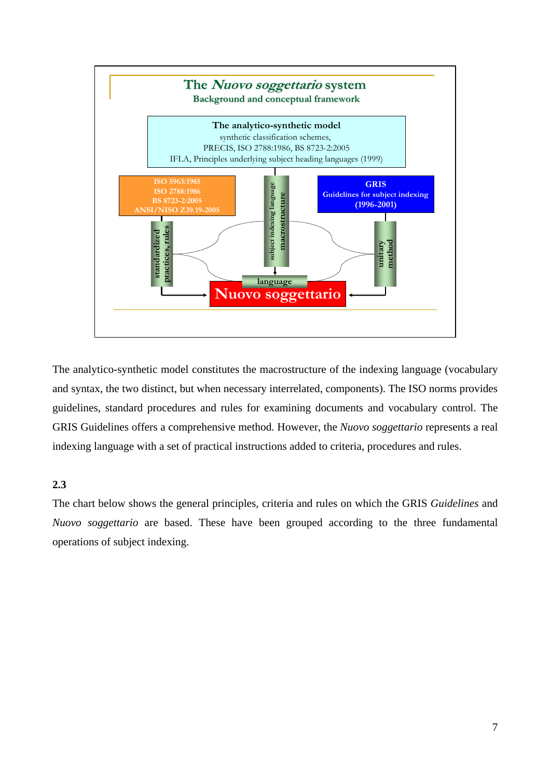

The analytico-synthetic model constitutes the macrostructure of the indexing language (vocabulary and syntax, the two distinct, but when necessary interrelated, components). The ISO norms provides guidelines, standard procedures and rules for examining documents and vocabulary control. The GRIS Guidelines offers a comprehensive method. However, the *Nuovo soggettario* represents a real indexing language with a set of practical instructions added to criteria, procedures and rules.

# **2.3**

The chart below shows the general principles, criteria and rules on which the GRIS *Guidelines* and *Nuovo soggettario* are based. These have been grouped according to the three fundamental operations of subject indexing.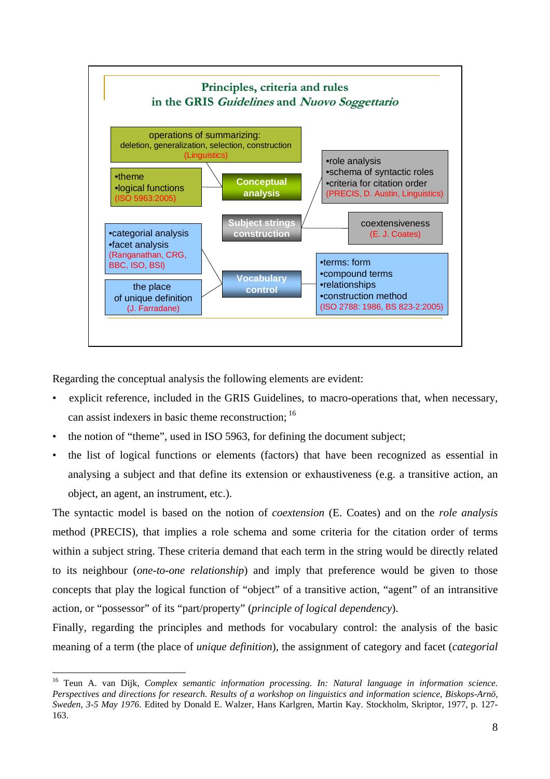

Regarding the conceptual analysis the following elements are evident:

 $\overline{a}$ 

- explicit reference, included in the GRIS Guidelines, to macro-operations that, when necessary, can assist indexers in basic theme reconstruction; 16
- the notion of "theme", used in ISO 5963, for defining the document subject;
- the list of logical functions or elements (factors) that have been recognized as essential in analysing a subject and that define its extension or exhaustiveness (e.g. a transitive action, an object, an agent, an instrument, etc.).

The syntactic model is based on the notion of *coextension* (E. Coates) and on the *role analysis* method (PRECIS), that implies a role schema and some criteria for the citation order of terms within a subject string. These criteria demand that each term in the string would be directly related to its neighbour (*one-to-one relationship*) and imply that preference would be given to those concepts that play the logical function of "object" of a transitive action, "agent" of an intransitive action, or "possessor" of its "part/property" (*principle of logical dependency*).

Finally, regarding the principles and methods for vocabulary control: the analysis of the basic meaning of a term (the place of *unique definition*), the assignment of category and facet (*categorial* 

<sup>16</sup> Teun A. van Dijk, *Complex semantic information processing. In: Natural language in information science. Perspectives and directions for research. Results of a workshop on linguistics and information science, Biskops-Arnö, Sweden, 3-5 May 1976*. Edited by Donald E. Walzer, Hans Karlgren, Martin Kay. Stockholm, Skriptor, 1977, p. 127- 163.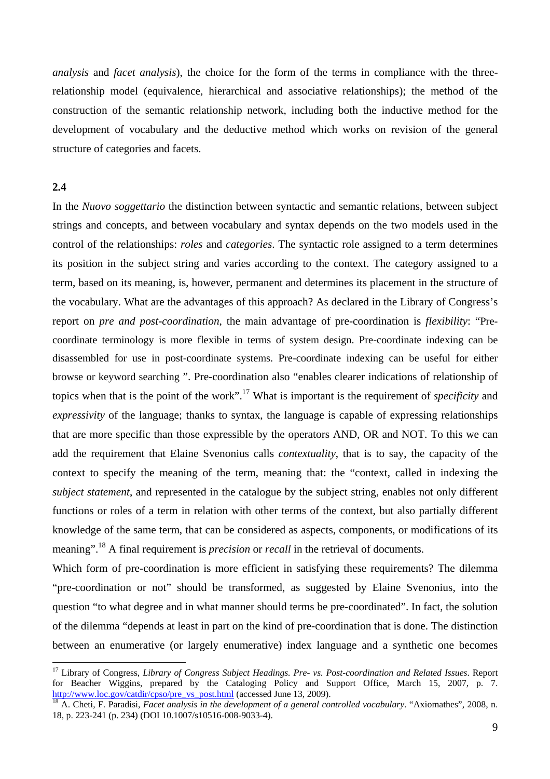*analysis* and *facet analysis*), the choice for the form of the terms in compliance with the threerelationship model (equivalence, hierarchical and associative relationships); the method of the construction of the semantic relationship network, including both the inductive method for the development of vocabulary and the deductive method which works on revision of the general structure of categories and facets.

# **2.4**

 $\overline{a}$ 

In the *Nuovo soggettario* the distinction between syntactic and semantic relations, between subject strings and concepts, and between vocabulary and syntax depends on the two models used in the control of the relationships: *roles* and *categories*. The syntactic role assigned to a term determines its position in the subject string and varies according to the context. The category assigned to a term, based on its meaning, is, however, permanent and determines its placement in the structure of the vocabulary. What are the advantages of this approach? As declared in the Library of Congress's report on *pre and post-coordination*, the main advantage of pre-coordination is *flexibility*: "Precoordinate terminology is more flexible in terms of system design. Pre-coordinate indexing can be disassembled for use in post-coordinate systems. Pre-coordinate indexing can be useful for either browse or keyword searching ". Pre-coordination also "enables clearer indications of relationship of topics when that is the point of the work".17 What is important is the requirement of *specificity* and *expressivity* of the language; thanks to syntax, the language is capable of expressing relationships that are more specific than those expressible by the operators AND, OR and NOT. To this we can add the requirement that Elaine Svenonius calls *contextuality*, that is to say, the capacity of the context to specify the meaning of the term, meaning that: the "context, called in indexing the *subject statement*, and represented in the catalogue by the subject string, enables not only different functions or roles of a term in relation with other terms of the context, but also partially different knowledge of the same term, that can be considered as aspects, components, or modifications of its meaning".<sup>18</sup> A final requirement is *precision* or *recall* in the retrieval of documents.

Which form of pre-coordination is more efficient in satisfying these requirements? The dilemma "pre-coordination or not" should be transformed, as suggested by Elaine Svenonius, into the question "to what degree and in what manner should terms be pre-coordinated". In fact, the solution of the dilemma "depends at least in part on the kind of pre-coordination that is done. The distinction between an enumerative (or largely enumerative) index language and a synthetic one becomes

<sup>17</sup> Library of Congress, *Library of Congress Subject Headings. Pre- vs. Post-coordination and Related Issues*. Report for Beacher Wiggins, prepared by the Cataloging Policy and Support Office, March 15, 2007, p. 7.<br>http://www.loc.gov/catdir/cpso/pre\_vs\_post.html (accessed June 13, 2009).

 $\frac{18}{18}$  A. Cheti, F. Paradisi, *Facet analysis in the development of a general controlled vocabulary*. "Axiomathes", 2008, n. 18, p. 223-241 (p. 234) (DOI 10.1007/s10516-008-9033-4).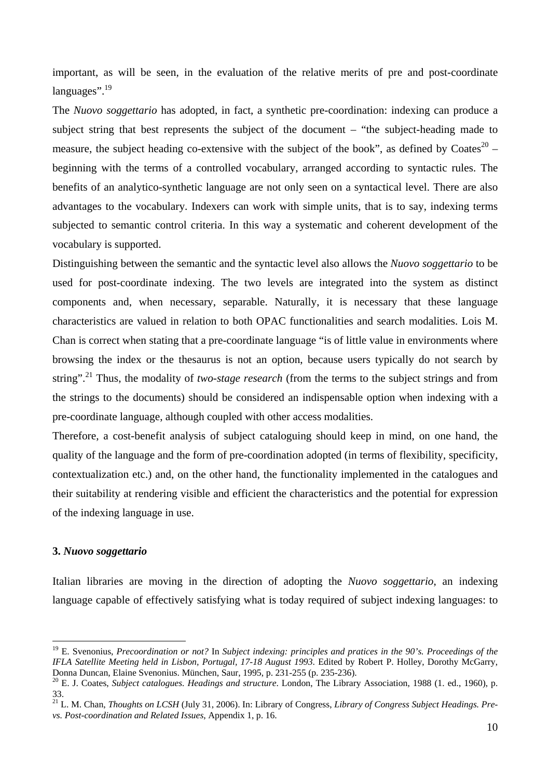important, as will be seen, in the evaluation of the relative merits of pre and post-coordinate  $lanquages$ ".<sup>19</sup>

The *Nuovo soggettario* has adopted, in fact, a synthetic pre-coordination: indexing can produce a subject string that best represents the subject of the document – "the subject-heading made to measure, the subject heading co-extensive with the subject of the book", as defined by  $\text{Coates}^{20}$  – beginning with the terms of a controlled vocabulary, arranged according to syntactic rules. The benefits of an analytico-synthetic language are not only seen on a syntactical level. There are also advantages to the vocabulary. Indexers can work with simple units, that is to say, indexing terms subjected to semantic control criteria. In this way a systematic and coherent development of the vocabulary is supported.

Distinguishing between the semantic and the syntactic level also allows the *Nuovo soggettario* to be used for post-coordinate indexing. The two levels are integrated into the system as distinct components and, when necessary, separable. Naturally, it is necessary that these language characteristics are valued in relation to both OPAC functionalities and search modalities. Lois M. Chan is correct when stating that a pre-coordinate language "is of little value in environments where browsing the index or the thesaurus is not an option, because users typically do not search by string".<sup>21</sup> Thus, the modality of *two-stage research* (from the terms to the subject strings and from the strings to the documents) should be considered an indispensable option when indexing with a pre-coordinate language, although coupled with other access modalities.

Therefore, a cost-benefit analysis of subject cataloguing should keep in mind, on one hand, the quality of the language and the form of pre-coordination adopted (in terms of flexibility, specificity, contextualization etc.) and, on the other hand, the functionality implemented in the catalogues and their suitability at rendering visible and efficient the characteristics and the potential for expression of the indexing language in use.

## **3.** *Nuovo soggettario*

 $\overline{a}$ 

Italian libraries are moving in the direction of adopting the *Nuovo soggettario*, an indexing language capable of effectively satisfying what is today required of subject indexing languages: to

<sup>19</sup> E. Svenonius, *Precoordination or not?* In *Subject indexing: principles and pratices in the 90's. Proceedings of the IFLA Satellite Meeting held in Lisbon, Portugal, 17-18 August 1993*. Edited by Robert P. Holley, Dorothy McGarry, Donna Duncan, Elaine Svenonius. München, Saur, 1995, p. 231-255 (p. 235-236).

<sup>&</sup>lt;sup>20</sup> E. J. Coates, *Subject catalogues. Headings and structure*. London, The Library Association, 1988 (1. ed., 1960), p. 33.

<sup>21</sup> L. M. Chan, *Thoughts on LCSH* (July 31, 2006). In: Library of Congress, *Library of Congress Subject Headings. Prevs. Post-coordination and Related Issues*, Appendix 1, p. 16.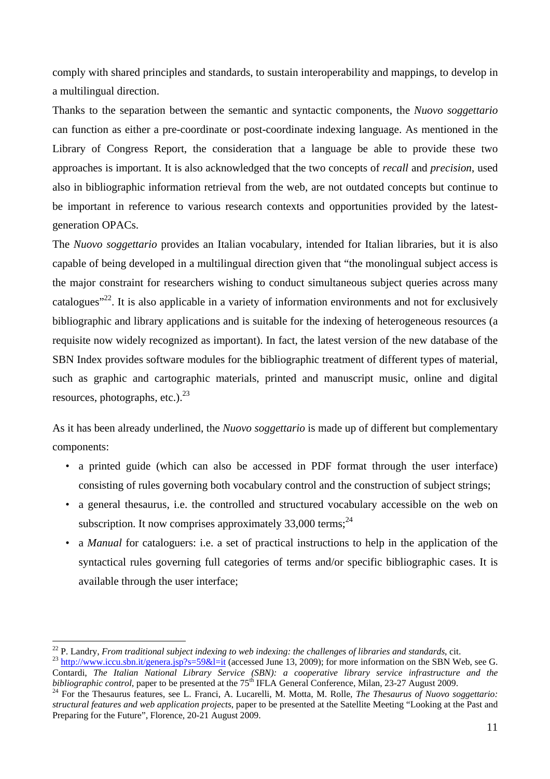comply with shared principles and standards, to sustain interoperability and mappings, to develop in a multilingual direction.

Thanks to the separation between the semantic and syntactic components, the *Nuovo soggettario* can function as either a pre-coordinate or post-coordinate indexing language. As mentioned in the Library of Congress Report, the consideration that a language be able to provide these two approaches is important. It is also acknowledged that the two concepts of *recall* and *precision*, used also in bibliographic information retrieval from the web, are not outdated concepts but continue to be important in reference to various research contexts and opportunities provided by the latestgeneration OPACs.

The *Nuovo soggettario* provides an Italian vocabulary, intended for Italian libraries, but it is also capable of being developed in a multilingual direction given that "the monolingual subject access is the major constraint for researchers wishing to conduct simultaneous subject queries across many catalogues"22. It is also applicable in a variety of information environments and not for exclusively bibliographic and library applications and is suitable for the indexing of heterogeneous resources (a requisite now widely recognized as important). In fact, the latest version of the new database of the SBN Index provides software modules for the bibliographic treatment of different types of material, such as graphic and cartographic materials, printed and manuscript music, online and digital resources, photographs, etc.). $^{23}$ 

As it has been already underlined, the *Nuovo soggettario* is made up of different but complementary components:

- a printed guide (which can also be accessed in PDF format through the user interface) consisting of rules governing both vocabulary control and the construction of subject strings;
- a general thesaurus, i.e. the controlled and structured vocabulary accessible on the web on subscription. It now comprises approximately  $33,000$  terms;<sup>24</sup>
- a *Manual* for cataloguers: i.e. a set of practical instructions to help in the application of the syntactical rules governing full categories of terms and/or specific bibliographic cases. It is available through the user interface;

<sup>&</sup>lt;sup>22</sup> P. Landry, *From traditional subject indexing to web indexing: the challenges of libraries and standards, cit.<br><sup>23</sup> http://www.iccu.sbn.it/gene<u>ra.jsp?s=59&l=it</u> (accessed June 13, 2009); for more information on the* Contardi, *The Italian National Library Service (SBN): a cooperative library service infrastructure and the bibliographic control, paper to be presented at the 75<sup>th</sup> IFLA General Conference, Milan, 23-27 August 2009.* 

<sup>&</sup>lt;sup>24</sup> For the Thesaurus features, see L. Franci, A. Lucarelli, M. Motta, M. Rolle, *The Thesaurus of Nuovo soggettario: structural features and web application projects*, paper to be presented at the Satellite Meeting "Looking at the Past and Preparing for the Future", Florence, 20-21 August 2009.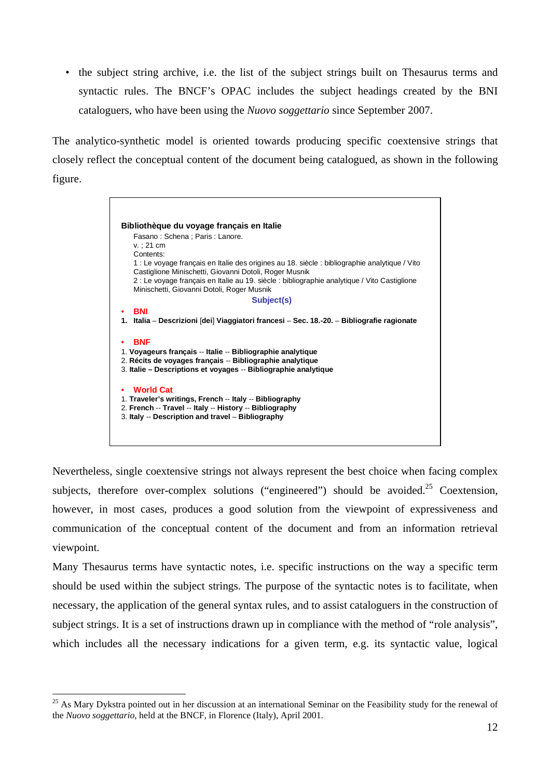• the subject string archive, i.e. the list of the subject strings built on Thesaurus terms and syntactic rules. The BNCF's OPAC includes the subject headings created by the BNI cataloguers, who have been using the *Nuovo soggettario* since September 2007.

The analytico-synthetic model is oriented towards producing specific coextensive strings that closely reflect the conceptual content of the document being catalogued, as shown in the following figure.



Nevertheless, single coextensive strings not always represent the best choice when facing complex subjects, therefore over-complex solutions ("engineered") should be avoided.<sup>25</sup> Coextension. however, in most cases, produces a good solution from the viewpoint of expressiveness and communication of the conceptual content of the document and from an information retrieval viewpoint.

Many Thesaurus terms have syntactic notes, i.e. specific instructions on the way a specific term should be used within the subject strings. The purpose of the syntactic notes is to facilitate, when necessary, the application of the general syntax rules, and to assist cataloguers in the construction of subject strings. It is a set of instructions drawn up in compliance with the method of "role analysis", which includes all the necessary indications for a given term, e.g. its syntactic value, logical

<sup>&</sup>lt;sup>25</sup> As Mary Dykstra pointed out in her discussion at an international Seminar on the Feasibility study for the renewal of the *Nuovo soggettario*, held at the BNCF, in Florence (Italy), April 2001.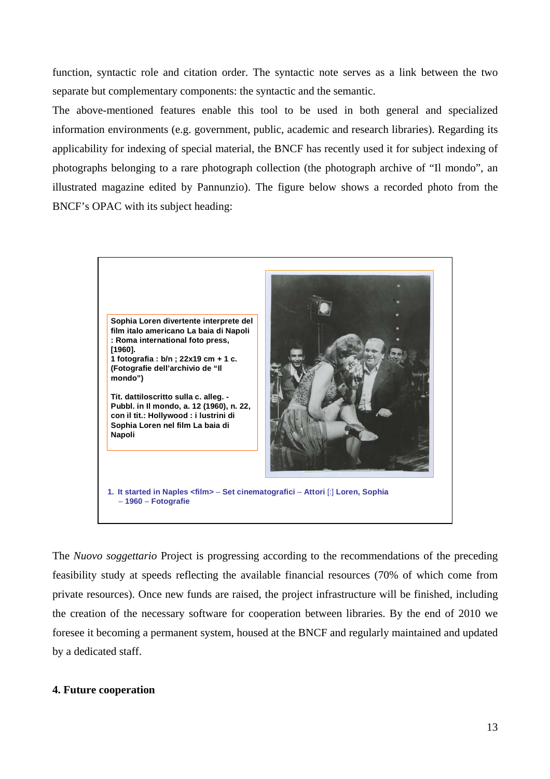function, syntactic role and citation order. The syntactic note serves as a link between the two separate but complementary components: the syntactic and the semantic.

The above-mentioned features enable this tool to be used in both general and specialized information environments (e.g. government, public, academic and research libraries). Regarding its applicability for indexing of special material, the BNCF has recently used it for subject indexing of photographs belonging to a rare photograph collection (the photograph archive of "Il mondo", an illustrated magazine edited by Pannunzio). The figure below shows a recorded photo from the BNCF's OPAC with its subject heading:



The *Nuovo soggettario* Project is progressing according to the recommendations of the preceding feasibility study at speeds reflecting the available financial resources (70% of which come from private resources). Once new funds are raised, the project infrastructure will be finished, including the creation of the necessary software for cooperation between libraries. By the end of 2010 we foresee it becoming a permanent system, housed at the BNCF and regularly maintained and updated by a dedicated staff.

#### **4. Future cooperation**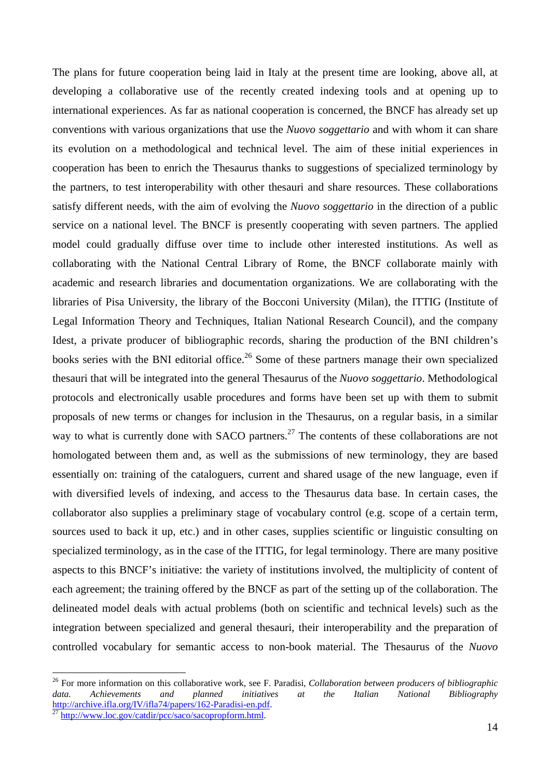The plans for future cooperation being laid in Italy at the present time are looking, above all, at developing a collaborative use of the recently created indexing tools and at opening up to international experiences. As far as national cooperation is concerned, the BNCF has already set up conventions with various organizations that use the *Nuovo soggettario* and with whom it can share its evolution on a methodological and technical level. The aim of these initial experiences in cooperation has been to enrich the Thesaurus thanks to suggestions of specialized terminology by the partners, to test interoperability with other thesauri and share resources. These collaborations satisfy different needs, with the aim of evolving the *Nuovo soggettario* in the direction of a public service on a national level. The BNCF is presently cooperating with seven partners. The applied model could gradually diffuse over time to include other interested institutions. As well as collaborating with the National Central Library of Rome, the BNCF collaborate mainly with academic and research libraries and documentation organizations. We are collaborating with the libraries of Pisa University, the library of the Bocconi University (Milan), the ITTIG (Institute of Legal Information Theory and Techniques, Italian National Research Council), and the company Idest, a private producer of bibliographic records, sharing the production of the BNI children's books series with the BNI editorial office.<sup>26</sup> Some of these partners manage their own specialized thesauri that will be integrated into the general Thesaurus of the *Nuovo soggettario*. Methodological protocols and electronically usable procedures and forms have been set up with them to submit proposals of new terms or changes for inclusion in the Thesaurus, on a regular basis, in a similar way to what is currently done with SACO partners.<sup>27</sup> The contents of these collaborations are not homologated between them and, as well as the submissions of new terminology, they are based essentially on: training of the cataloguers, current and shared usage of the new language, even if with diversified levels of indexing, and access to the Thesaurus data base. In certain cases, the collaborator also supplies a preliminary stage of vocabulary control (e.g. scope of a certain term, sources used to back it up, etc.) and in other cases, supplies scientific or linguistic consulting on specialized terminology, as in the case of the ITTIG, for legal terminology. There are many positive aspects to this BNCF's initiative: the variety of institutions involved, the multiplicity of content of each agreement; the training offered by the BNCF as part of the setting up of the collaboration. The delineated model deals with actual problems (both on scientific and technical levels) such as the integration between specialized and general thesauri, their interoperability and the preparation of controlled vocabulary for semantic access to non-book material. The Thesaurus of the *Nuovo* 

<sup>26</sup> For more information on this collaborative work, see F. Paradisi, *Collaboration between producers of bibliographic*  data. Achievements and planned initiatives at the Italian National Bibliography **http://archive.ifla.org/IV/ifla74/papers/162-Paradisi-en.pdf**.

 $\frac{1}{27}$ http://www.loc.gov/catdir/pcc/saco/sacopropform.html.